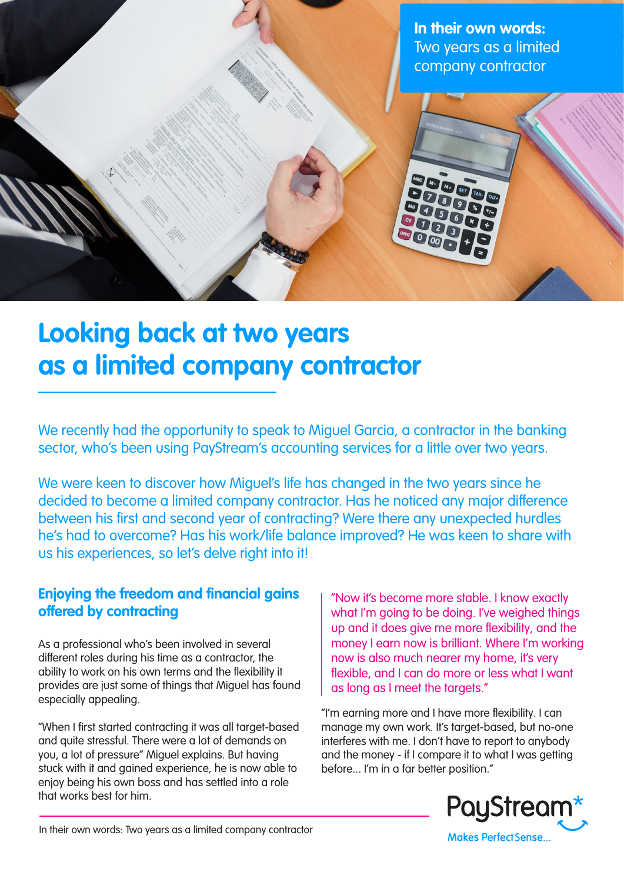**In their own words:** Two years as a limited company contractor

## **Looking back at two years as a limited company contractor**

We recently had the opportunity to speak to Miguel Garcia, a contractor in the banking sector, who's been using PayStream's accounting services for a little over two years.

We were keen to discover how Miguel's life has changed in the two years since he decided to become a limited company contractor. Has he noticed any major difference between his first and second year of contracting? Were there any unexpected hurdles he's had to overcome? Has his work/life balance improved? He was keen to share with us his experiences, so let's delve right into it!

## **Enjoying the freedom and financial gains offered by contracting**

As a professional who's been involved in several different roles during his time as a contractor, the ability to work on his own terms and the flexibility it provides are just some of things that Miguel has found especially appealing.

"When I first started contracting it was all target-based and quite stressful. There were a lot of demands on you, a lot of pressure" Miguel explains. But having stuck with it and gained experience, he is now able to enjoy being his own boss and has settled into a role that works best for him.

"Now it's become more stable. I know exactly what I'm going to be doing. I've weighed things up and it does give me more flexibility, and the money I earn now is brilliant. Where I'm working now is also much nearer my home, it's very flexible, and I can do more or less what I want as long as I meet the targets."

"I'm earning more and I have more flexibility. I can manage my own work. It's target-based, but no-one interferes with me. I don't have to report to anybody and the money - if I compare it to what I was getting before... I'm in a far better position."



In their own words: Two years as a limited company contractor